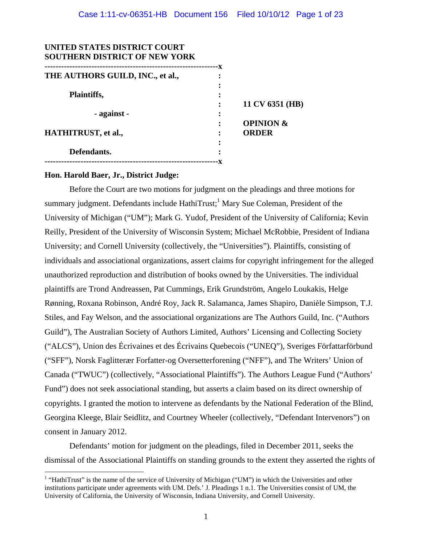| UNITED STATES DISTRICT COURT<br><b>SOUTHERN DISTRICT OF NEW YORK</b> |    |                      |
|----------------------------------------------------------------------|----|----------------------|
| THE AUTHORS GUILD, INC., et al.,                                     | ٠x |                      |
|                                                                      |    |                      |
| Plaintiffs,                                                          |    | 11 CV 6351 (HB)      |
| - against -                                                          |    |                      |
|                                                                      |    | <b>OPINION &amp;</b> |
| <b>HATHITRUST, et al.,</b>                                           |    | <b>ORDER</b>         |
| Defendants.                                                          |    |                      |
|                                                                      |    |                      |

## **Hon. Harold Baer, Jr., District Judge:**

 $\overline{a}$ 

Before the Court are two motions for judgment on the pleadings and three motions for summary judgment. Defendants include HathiTrust;<sup>1</sup> Mary Sue Coleman, President of the University of Michigan ("UM"); Mark G. Yudof, President of the University of California; Kevin Reilly, President of the University of Wisconsin System; Michael McRobbie, President of Indiana University; and Cornell University (collectively, the "Universities"). Plaintiffs, consisting of individuals and associational organizations, assert claims for copyright infringement for the alleged unauthorized reproduction and distribution of books owned by the Universities. The individual plaintiffs are Trond Andreassen, Pat Cummings, Erik Grundström, Angelo Loukakis, Helge Rønning, Roxana Robinson, André Roy, Jack R. Salamanca, James Shapiro, Danièle Simpson, T.J. Stiles, and Fay Welson, and the associational organizations are The Authors Guild, Inc. ("Authors Guild"), The Australian Society of Authors Limited, Authors' Licensing and Collecting Society ("ALCS"), Union des Écrivaines et des Écrivains Quebecois ("UNEQ"), Sveriges Författarförbund ("SFF"), Norsk Faglitterær Forfatter-og Oversetterforening ("NFF"), and The Writers' Union of Canada ("TWUC") (collectively, "Associational Plaintiffs"). The Authors League Fund ("Authors' Fund") does not seek associational standing, but asserts a claim based on its direct ownership of copyrights. I granted the motion to intervene as defendants by the National Federation of the Blind, Georgina Kleege, Blair Seidlitz, and Courtney Wheeler (collectively, "Defendant Intervenors") on consent in January 2012.

Defendants' motion for judgment on the pleadings, filed in December 2011, seeks the dismissal of the Associational Plaintiffs on standing grounds to the extent they asserted the rights of

<sup>&</sup>lt;sup>1</sup> "HathiTrust" is the name of the service of University of Michigan ("UM") in which the Universities and other institutions participate under agreements with UM. Defs.' J. Pleadings 1 n.1. The Universities consist of UM, the University of California, the University of Wisconsin, Indiana University, and Cornell University.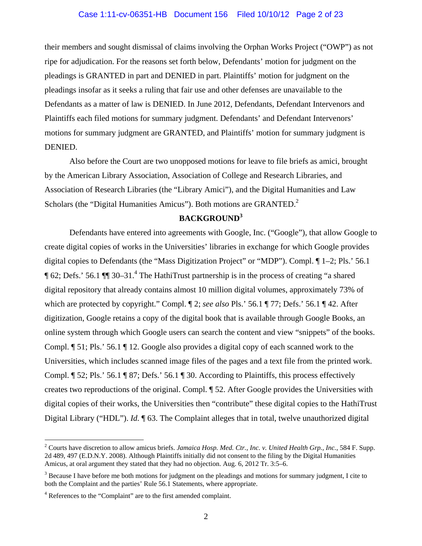#### Case 1:11-cv-06351-HB Document 156 Filed 10/10/12 Page 2 of 23

their members and sought dismissal of claims involving the Orphan Works Project ("OWP") as not ripe for adjudication. For the reasons set forth below, Defendants' motion for judgment on the pleadings is GRANTED in part and DENIED in part. Plaintiffs' motion for judgment on the pleadings insofar as it seeks a ruling that fair use and other defenses are unavailable to the Defendants as a matter of law is DENIED. In June 2012, Defendants, Defendant Intervenors and Plaintiffs each filed motions for summary judgment. Defendants' and Defendant Intervenors' motions for summary judgment are GRANTED, and Plaintiffs' motion for summary judgment is DENIED.

Also before the Court are two unopposed motions for leave to file briefs as amici, brought by the American Library Association, Association of College and Research Libraries, and Association of Research Libraries (the "Library Amici"), and the Digital Humanities and Law Scholars (the "Digital Humanities Amicus"). Both motions are GRANTED.<sup>2</sup>

# **BACKGROUND<sup>3</sup>**

 Defendants have entered into agreements with Google, Inc. ("Google"), that allow Google to create digital copies of works in the Universities' libraries in exchange for which Google provides digital copies to Defendants (the "Mass Digitization Project" or "MDP"). Compl. ¶ 1–2; Pls.' 56.1 ¶ 62; Defs.' 56.1 ¶¶ 30–31.<sup>4</sup> The HathiTrust partnership is in the process of creating "a shared digital repository that already contains almost 10 million digital volumes, approximately 73% of which are protected by copyright." Compl. ¶ 2; *see also* Pls.' 56.1 ¶ 77; Defs.' 56.1 ¶ 42. After digitization, Google retains a copy of the digital book that is available through Google Books, an online system through which Google users can search the content and view "snippets" of the books. Compl. ¶ 51; Pls.' 56.1 ¶ 12. Google also provides a digital copy of each scanned work to the Universities, which includes scanned image files of the pages and a text file from the printed work. Compl. ¶ 52; Pls.' 56.1 ¶ 87; Defs.' 56.1 ¶ 30. According to Plaintiffs, this process effectively creates two reproductions of the original. Compl. ¶ 52. After Google provides the Universities with digital copies of their works, the Universities then "contribute" these digital copies to the HathiTrust Digital Library ("HDL"). *Id.* ¶ 63. The Complaint alleges that in total, twelve unauthorized digital

<sup>&</sup>lt;sup>2</sup> Courts have discretion to allow amicus briefs. *Jamaica Hosp. Med. Ctr., Inc. v. United Health Grp., Inc., 584 F. Supp.* 2d 489, 497 (E.D.N.Y. 2008). Although Plaintiffs initially did not consent to the filing by the Digital Humanities Amicus, at oral argument they stated that they had no objection. Aug. 6, 2012 Tr. 3:5–6.

 $3$  Because I have before me both motions for judgment on the pleadings and motions for summary judgment, I cite to both the Complaint and the parties' Rule 56.1 Statements, where appropriate.

<sup>&</sup>lt;sup>4</sup> References to the "Complaint" are to the first amended complaint.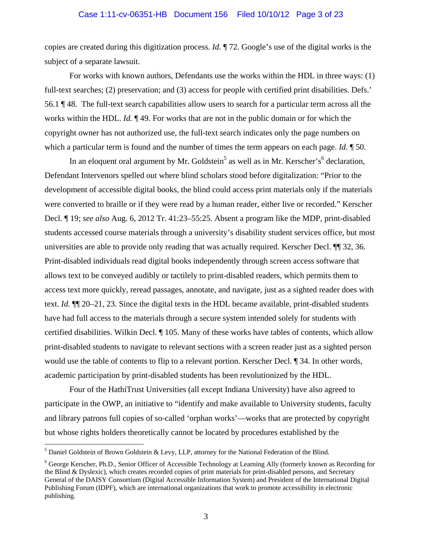#### Case 1:11-cv-06351-HB Document 156 Filed 10/10/12 Page 3 of 23

copies are created during this digitization process. *Id.* ¶ 72. Google's use of the digital works is the subject of a separate lawsuit.

For works with known authors, Defendants use the works within the HDL in three ways: (1) full-text searches; (2) preservation; and (3) access for people with certified print disabilities. Defs.' 56.1 ¶ 48. The full-text search capabilities allow users to search for a particular term across all the works within the HDL. *Id.* ¶ 49. For works that are not in the public domain or for which the copyright owner has not authorized use, the full-text search indicates only the page numbers on which a particular term is found and the number of times the term appears on each page. *Id.* ¶ 50.

In an eloquent oral argument by Mr. Goldstein<sup>5</sup> as well as in Mr. Kerscher's<sup>6</sup> declaration, Defendant Intervenors spelled out where blind scholars stood before digitalization: "Prior to the development of accessible digital books, the blind could access print materials only if the materials were converted to braille or if they were read by a human reader, either live or recorded." Kerscher Decl. ¶ 19; *see also* Aug. 6, 2012 Tr. 41:23–55:25. Absent a program like the MDP, print-disabled students accessed course materials through a university's disability student services office, but most universities are able to provide only reading that was actually required. Kerscher Decl. ¶¶ 32, 36. Print-disabled individuals read digital books independently through screen access software that allows text to be conveyed audibly or tactilely to print-disabled readers, which permits them to access text more quickly, reread passages, annotate, and navigate, just as a sighted reader does with text. *Id.* ¶¶ 20–21, 23. Since the digital texts in the HDL became available, print-disabled students have had full access to the materials through a secure system intended solely for students with certified disabilities. Wilkin Decl. ¶ 105. Many of these works have tables of contents, which allow print-disabled students to navigate to relevant sections with a screen reader just as a sighted person would use the table of contents to flip to a relevant portion. Kerscher Decl.  $\parallel$  34. In other words, academic participation by print-disabled students has been revolutionized by the HDL.

 Four of the HathiTrust Universities (all except Indiana University) have also agreed to participate in the OWP, an initiative to "identify and make available to University students, faculty and library patrons full copies of so-called 'orphan works'—works that are protected by copyright but whose rights holders theoretically cannot be located by procedures established by the

<sup>&</sup>lt;sup>5</sup> Daniel Goldstein of Brown Goldstein & Levy, LLP, attorney for the National Federation of the Blind.

<sup>&</sup>lt;sup>6</sup> George Kerscher, Ph.D., Senior Officer of Accessible Technology at Learning Ally (formerly known as Recording for the Blind & Dyslexic), which creates recorded copies of print materials for print-disabled persons, and Secretary General of the DAISY Consortium (Digital Accessible Information System) and President of the International Digital Publishing Forum (IDPF), which are international organizations that work to promote accessibility in electronic publishing.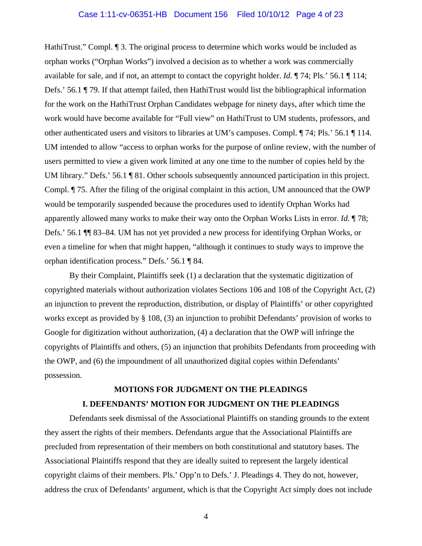## Case 1:11-cv-06351-HB Document 156 Filed 10/10/12 Page 4 of 23

HathiTrust." Compl. ¶ 3. The original process to determine which works would be included as orphan works ("Orphan Works") involved a decision as to whether a work was commercially available for sale, and if not, an attempt to contact the copyright holder. *Id.* ¶ 74; Pls.' 56.1 ¶ 114; Defs.' 56.1 ¶ 79. If that attempt failed, then HathiTrust would list the bibliographical information for the work on the HathiTrust Orphan Candidates webpage for ninety days, after which time the work would have become available for "Full view" on HathiTrust to UM students, professors, and other authenticated users and visitors to libraries at UM's campuses. Compl. ¶ 74; Pls.' 56.1 ¶ 114. UM intended to allow "access to orphan works for the purpose of online review, with the number of users permitted to view a given work limited at any one time to the number of copies held by the UM library." Defs.' 56.1 ¶ 81. Other schools subsequently announced participation in this project. Compl. ¶ 75. After the filing of the original complaint in this action, UM announced that the OWP would be temporarily suspended because the procedures used to identify Orphan Works had apparently allowed many works to make their way onto the Orphan Works Lists in error. *Id.* ¶ 78; Defs.' 56.1 ¶¶ 83–84. UM has not yet provided a new process for identifying Orphan Works, or even a timeline for when that might happen, "although it continues to study ways to improve the orphan identification process." Defs.' 56.1 ¶ 84.

By their Complaint, Plaintiffs seek (1) a declaration that the systematic digitization of copyrighted materials without authorization violates Sections 106 and 108 of the Copyright Act, (2) an injunction to prevent the reproduction, distribution, or display of Plaintiffs' or other copyrighted works except as provided by § 108, (3) an injunction to prohibit Defendants' provision of works to Google for digitization without authorization, (4) a declaration that the OWP will infringe the copyrights of Plaintiffs and others, (5) an injunction that prohibits Defendants from proceeding with the OWP, and (6) the impoundment of all unauthorized digital copies within Defendants' possession.

# **MOTIONS FOR JUDGMENT ON THE PLEADINGS I. DEFENDANTS' MOTION FOR JUDGMENT ON THE PLEADINGS**

 Defendants seek dismissal of the Associational Plaintiffs on standing grounds to the extent they assert the rights of their members. Defendants argue that the Associational Plaintiffs are precluded from representation of their members on both constitutional and statutory bases. The Associational Plaintiffs respond that they are ideally suited to represent the largely identical copyright claims of their members. Pls.' Opp'n to Defs.' J. Pleadings 4. They do not, however, address the crux of Defendants' argument, which is that the Copyright Act simply does not include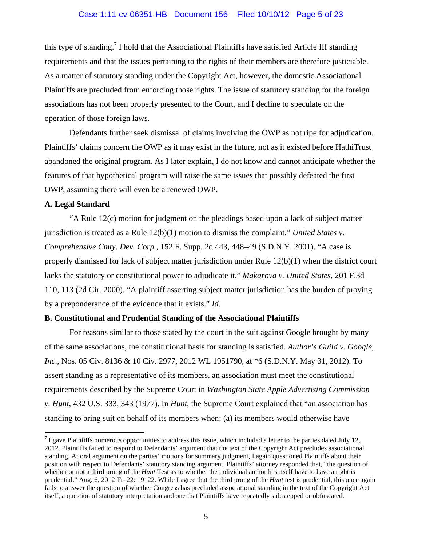this type of standing.<sup>7</sup> I hold that the Associational Plaintiffs have satisfied Article III standing requirements and that the issues pertaining to the rights of their members are therefore justiciable. As a matter of statutory standing under the Copyright Act, however, the domestic Associational Plaintiffs are precluded from enforcing those rights. The issue of statutory standing for the foreign associations has not been properly presented to the Court, and I decline to speculate on the operation of those foreign laws.

 Defendants further seek dismissal of claims involving the OWP as not ripe for adjudication. Plaintiffs' claims concern the OWP as it may exist in the future, not as it existed before HathiTrust abandoned the original program. As I later explain, I do not know and cannot anticipate whether the features of that hypothetical program will raise the same issues that possibly defeated the first OWP, assuming there will even be a renewed OWP.

# **A. Legal Standard**

 $\overline{a}$ 

"A Rule 12(c) motion for judgment on the pleadings based upon a lack of subject matter jurisdiction is treated as a Rule 12(b)(1) motion to dismiss the complaint." *United States v. Comprehensive Cmty. Dev. Corp.*, 152 F. Supp. 2d 443, 448–49 (S.D.N.Y. 2001). "A case is properly dismissed for lack of subject matter jurisdiction under Rule 12(b)(1) when the district court lacks the statutory or constitutional power to adjudicate it." *Makarova v. United States*, 201 F.3d 110, 113 (2d Cir. 2000). "A plaintiff asserting subject matter jurisdiction has the burden of proving by a preponderance of the evidence that it exists." *Id.*

#### **B. Constitutional and Prudential Standing of the Associational Plaintiffs**

 For reasons similar to those stated by the court in the suit against Google brought by many of the same associations, the constitutional basis for standing is satisfied. *Author's Guild v. Google, Inc.*, Nos. 05 Civ. 8136 & 10 Civ. 2977, 2012 WL 1951790, at \*6 (S.D.N.Y. May 31, 2012). To assert standing as a representative of its members, an association must meet the constitutional requirements described by the Supreme Court in *Washington State Apple Advertising Commission v. Hunt*, 432 U.S. 333, 343 (1977). In *Hunt*, the Supreme Court explained that "an association has standing to bring suit on behalf of its members when: (a) its members would otherwise have

 $<sup>7</sup>$  I gave Plaintiffs numerous opportunities to address this issue, which included a letter to the parties dated July 12,</sup> 2012. Plaintiffs failed to respond to Defendants' argument that the text of the Copyright Act precludes associational standing. At oral argument on the parties' motions for summary judgment, I again questioned Plaintiffs about their position with respect to Defendants' statutory standing argument. Plaintiffs' attorney responded that, "the question of whether or not a third prong of the *Hunt* Test as to whether the individual author has itself have to have a right is prudential." Aug. 6, 2012 Tr. 22: 19–22. While I agree that the third prong of the *Hunt* test is prudential, this once again fails to answer the question of whether Congress has precluded associational standing in the text of the Copyright Act itself, a question of statutory interpretation and one that Plaintiffs have repeatedly sidestepped or obfuscated.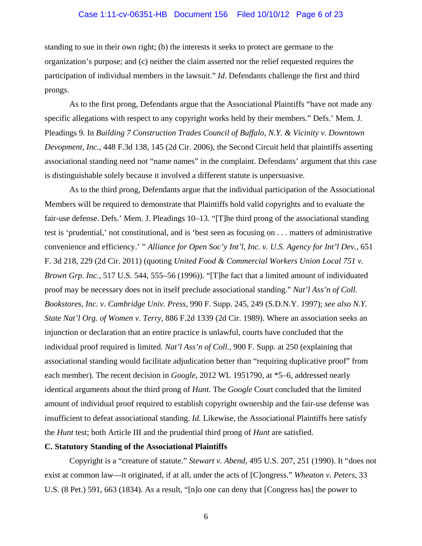#### Case 1:11-cv-06351-HB Document 156 Filed 10/10/12 Page 6 of 23

standing to sue in their own right; (b) the interests it seeks to protect are germane to the organization's purpose; and (c) neither the claim asserted nor the relief requested requires the participation of individual members in the lawsuit." *Id*. Defendants challenge the first and third prongs.

 As to the first prong, Defendants argue that the Associational Plaintiffs "have not made any specific allegations with respect to any copyright works held by their members." Defs.' Mem. J. Pleadings 9. In *Building 7 Construction Trades Council of Buffalo, N.Y. & Vicinity v. Downtown Devopment, Inc.*, 448 F.3d 138, 145 (2d Cir. 2006), the Second Circuit held that plaintiffs asserting associational standing need not "name names" in the complaint. Defendants' argument that this case is distinguishable solely because it involved a different statute is unpersuasive.

 As to the third prong, Defendants argue that the individual participation of the Associational Members will be required to demonstrate that Plaintiffs hold valid copyrights and to evaluate the fair-use defense. Defs.' Mem. J. Pleadings 10–13. "[T]he third prong of the associational standing test is 'prudential,' not constitutional, and is 'best seen as focusing on . . . matters of administrative convenience and efficiency.' " *Alliance for Open Soc'y Int'l, Inc. v. U.S. Agency for Int'l Dev.*, 651 F. 3d 218, 229 (2d Cir. 2011) (quoting *United Food & Commercial Workers Union Local 751 v. Brown Grp. Inc.*, 517 U.S. 544, 555–56 (1996)). "[T]he fact that a limited amount of individuated proof may be necessary does not in itself preclude associational standing." *Nat'l Ass'n of Coll. Bookstores, Inc. v. Cambridge Univ. Press*, 990 F. Supp. 245, 249 (S.D.N.Y. 1997); *see also N.Y. State Nat'l Org. of Women v. Terry*, 886 F.2d 1339 (2d Cir. 1989). Where an association seeks an injunction or declaration that an entire practice is unlawful, courts have concluded that the individual proof required is limited. *Nat'l Ass'n of Coll.*, 900 F. Supp. at 250 (explaining that associational standing would facilitate adjudication better than "requiring duplicative proof" from each member). The recent decision in *Google*, 2012 WL 1951790, at \*5–6, addressed nearly identical arguments about the third prong of *Hunt*. The *Google* Court concluded that the limited amount of individual proof required to establish copyright ownership and the fair-use defense was insufficient to defeat associational standing. *Id.* Likewise, the Associational Plaintiffs here satisfy the *Hunt* test; both Article III and the prudential third prong of *Hunt* are satisfied.

#### **C. Statutory Standing of the Associational Plaintiffs**

Copyright is a "creature of statute." *Stewart v. Abend*, 495 U.S. 207, 251 (1990). It "does not exist at common law—it originated, if at all, under the acts of [C]ongress." *Wheaton v. Peters*, 33 U.S. (8 Pet.) 591, 663 (1834). As a result, "[n]o one can deny that [Congress has] the power to

6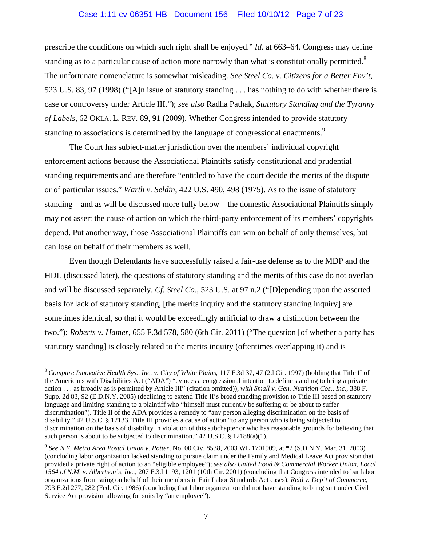# Case 1:11-cv-06351-HB Document 156 Filed 10/10/12 Page 7 of 23

prescribe the conditions on which such right shall be enjoyed." *Id*. at 663–64. Congress may define standing as to a particular cause of action more narrowly than what is constitutionally permitted.<sup>8</sup> The unfortunate nomenclature is somewhat misleading. *See Steel Co. v. Citizens for a Better Env't*, 523 U.S. 83, 97 (1998) ("[A]n issue of statutory standing . . . has nothing to do with whether there is case or controversy under Article III."); *see also* Radha Pathak, *Statutory Standing and the Tyranny of Labels*, 62 OKLA. L. REV. 89, 91 (2009). Whether Congress intended to provide statutory standing to associations is determined by the language of congressional enactments.<sup>9</sup>

 The Court has subject-matter jurisdiction over the members' individual copyright enforcement actions because the Associational Plaintiffs satisfy constitutional and prudential standing requirements and are therefore "entitled to have the court decide the merits of the dispute or of particular issues." *Warth v. Seldin*, 422 U.S. 490, 498 (1975). As to the issue of statutory standing—and as will be discussed more fully below—the domestic Associational Plaintiffs simply may not assert the cause of action on which the third-party enforcement of its members' copyrights depend. Put another way, those Associational Plaintiffs can win on behalf of only themselves, but can lose on behalf of their members as well.

 Even though Defendants have successfully raised a fair-use defense as to the MDP and the HDL (discussed later), the questions of statutory standing and the merits of this case do not overlap and will be discussed separately. *Cf. Steel Co.*, 523 U.S. at 97 n.2 ("[D]epending upon the asserted basis for lack of statutory standing, [the merits inquiry and the statutory standing inquiry] are sometimes identical, so that it would be exceedingly artificial to draw a distinction between the two."); *Roberts v. Hamer*, 655 F.3d 578, 580 (6th Cir. 2011) ("The question [of whether a party has statutory standing] is closely related to the merits inquiry (oftentimes overlapping it) and is

<sup>8</sup> *Compare Innovative Health Sys., Inc. v. City of White Plains*, 117 F.3d 37, 47 (2d Cir. 1997) (holding that Title II of the Americans with Disabilities Act ("ADA") "evinces a congressional intention to define standing to bring a private action . . . as broadly as is permitted by Article III" (citation omitted)), *with Small v. Gen. Nutrition Cos., Inc.*, 388 F. Supp. 2d 83, 92 (E.D.N.Y. 2005) (declining to extend Title II's broad standing provision to Title III based on statutory language and limiting standing to a plaintiff who "himself must currently be suffering or be about to suffer discrimination"). Title II of the ADA provides a remedy to "any person alleging discrimination on the basis of disability." 42 U.S.C. § 12133. Title III provides a cause of action "to any person who is being subjected to discrimination on the basis of disability in violation of this subchapter or who has reasonable grounds for believing that such person is about to be subjected to discrimination." 42 U.S.C. § 12188(a)(1).

<sup>9</sup> *See N.Y. Metro Area Postal Union v. Potter*, No. 00 Civ. 8538, 2003 WL 1701909, at \*2 (S.D.N.Y. Mar. 31, 2003) (concluding labor organization lacked standing to pursue claim under the Family and Medical Leave Act provision that provided a private right of action to an "eligible employee"); *see also United Food & Commercial Worker Union, Local 1564 of N.M. v. Albertson's, Inc.*, 207 F.3d 1193, 1201 (10th Cir. 2001) (concluding that Congress intended to bar labor organizations from suing on behalf of their members in Fair Labor Standards Act cases); *Reid v. Dep't of Commerce*, 793 F.2d 277, 282 (Fed. Cir. 1986) (concluding that labor organization did not have standing to bring suit under Civil Service Act provision allowing for suits by "an employee").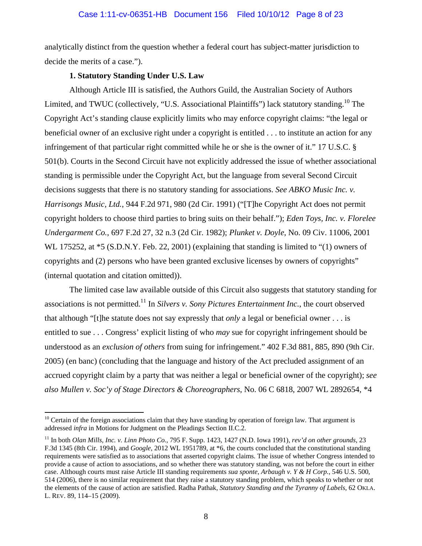analytically distinct from the question whether a federal court has subject-matter jurisdiction to decide the merits of a case.").

## **1. Statutory Standing Under U.S. Law**

Although Article III is satisfied, the Authors Guild, the Australian Society of Authors Limited, and TWUC (collectively, "U.S. Associational Plaintiffs") lack statutory standing.<sup>10</sup> The Copyright Act's standing clause explicitly limits who may enforce copyright claims: "the legal or beneficial owner of an exclusive right under a copyright is entitled . . . to institute an action for any infringement of that particular right committed while he or she is the owner of it." 17 U.S.C. § 501(b). Courts in the Second Circuit have not explicitly addressed the issue of whether associational standing is permissible under the Copyright Act, but the language from several Second Circuit decisions suggests that there is no statutory standing for associations. *See ABKO Music Inc. v. Harrisongs Music, Ltd.*, 944 F.2d 971, 980 (2d Cir. 1991) ("[T]he Copyright Act does not permit copyright holders to choose third parties to bring suits on their behalf."); *Eden Toys, Inc. v. Florelee Undergarment Co.*, 697 F.2d 27, 32 n.3 (2d Cir. 1982); *Plunket v. Doyle*, No. 09 Civ. 11006, 2001 WL 175252, at \*5 (S.D.N.Y. Feb. 22, 2001) (explaining that standing is limited to "(1) owners of copyrights and (2) persons who have been granted exclusive licenses by owners of copyrights" (internal quotation and citation omitted)).

The limited case law available outside of this Circuit also suggests that statutory standing for associations is not permitted.<sup>11</sup> In *Silvers v. Sony Pictures Entertainment Inc.*, the court observed that although "[t]he statute does not say expressly that *only* a legal or beneficial owner . . . is entitled to sue . . . Congress' explicit listing of who *may* sue for copyright infringement should be understood as an *exclusion of others* from suing for infringement." 402 F.3d 881, 885, 890 (9th Cir. 2005) (en banc) (concluding that the language and history of the Act precluded assignment of an accrued copyright claim by a party that was neither a legal or beneficial owner of the copyright); *see also Mullen v. Soc'y of Stage Directors & Choreographers*, No. 06 C 6818, 2007 WL 2892654, \*4

 $10$  Certain of the foreign associations claim that they have standing by operation of foreign law. That argument is addressed *infra* in Motions for Judgment on the Pleadings Section II.C.2.

<sup>11</sup> In both *Olan Mills, Inc. v. Linn Photo Co.*, 795 F. Supp. 1423, 1427 (N.D. Iowa 1991), *rev'd on other grounds*, 23 F.3d 1345 (8th Cir. 1994), and *Google*, 2012 WL 1951789, at \*6, the courts concluded that the constitutional standing requirements were satisfied as to associations that asserted copyright claims. The issue of whether Congress intended to provide a cause of action to associations, and so whether there was statutory standing, was not before the court in either case. Although courts must raise Article III standing requirements *sua sponte*, *Arbaugh v. Y & H Corp.*, 546 U.S. 500, 514 (2006), there is no similar requirement that they raise a statutory standing problem, which speaks to whether or not the elements of the cause of action are satisfied. Radha Pathak, *Statutory Standing and the Tyranny of Labels*, 62 OKLA. L. REV. 89, 114–15 (2009).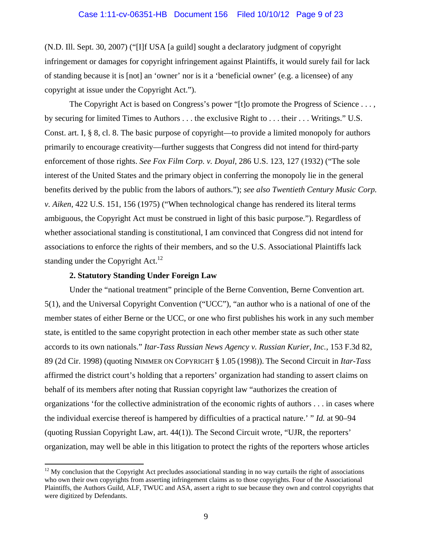(N.D. Ill. Sept. 30, 2007) ("[I]f USA [a guild] sought a declaratory judgment of copyright infringement or damages for copyright infringement against Plaintiffs, it would surely fail for lack of standing because it is [not] an 'owner' nor is it a 'beneficial owner' (e.g. a licensee) of any copyright at issue under the Copyright Act.").

The Copyright Act is based on Congress's power "[t]o promote the Progress of Science . . . , by securing for limited Times to Authors . . . the exclusive Right to . . . their . . . Writings." U.S. Const. art. I, § 8, cl. 8. The basic purpose of copyright—to provide a limited monopoly for authors primarily to encourage creativity—further suggests that Congress did not intend for third-party enforcement of those rights. *See Fox Film Corp. v. Doyal*, 286 U.S. 123, 127 (1932) ("The sole interest of the United States and the primary object in conferring the monopoly lie in the general benefits derived by the public from the labors of authors."); *see also Twentieth Century Music Corp. v. Aiken*, 422 U.S. 151, 156 (1975) ("When technological change has rendered its literal terms ambiguous, the Copyright Act must be construed in light of this basic purpose."). Regardless of whether associational standing is constitutional, I am convinced that Congress did not intend for associations to enforce the rights of their members, and so the U.S. Associational Plaintiffs lack standing under the Copyright Act.<sup>12</sup>

#### **2. Statutory Standing Under Foreign Law**

 $\overline{a}$ 

 Under the "national treatment" principle of the Berne Convention, Berne Convention art. 5(1), and the Universal Copyright Convention ("UCC"), "an author who is a national of one of the member states of either Berne or the UCC, or one who first publishes his work in any such member state, is entitled to the same copyright protection in each other member state as such other state accords to its own nationals." *Itar-Tass Russian News Agency v. Russian Kurier, Inc.*, 153 F.3d 82, 89 (2d Cir. 1998) (quoting NIMMER ON COPYRIGHT § 1.05 (1998)). The Second Circuit in *Itar-Tass*  affirmed the district court's holding that a reporters' organization had standing to assert claims on behalf of its members after noting that Russian copyright law "authorizes the creation of organizations 'for the collective administration of the economic rights of authors . . . in cases where the individual exercise thereof is hampered by difficulties of a practical nature.' " *Id.* at 90–94 (quoting Russian Copyright Law, art. 44(1)). The Second Circuit wrote, "UJR, the reporters' organization, may well be able in this litigation to protect the rights of the reporters whose articles

 $12$  My conclusion that the Copyright Act precludes associational standing in no way curtails the right of associations who own their own copyrights from asserting infringement claims as to those copyrights. Four of the Associational Plaintiffs, the Authors Guild, ALF, TWUC and ASA, assert a right to sue because they own and control copyrights that were digitized by Defendants.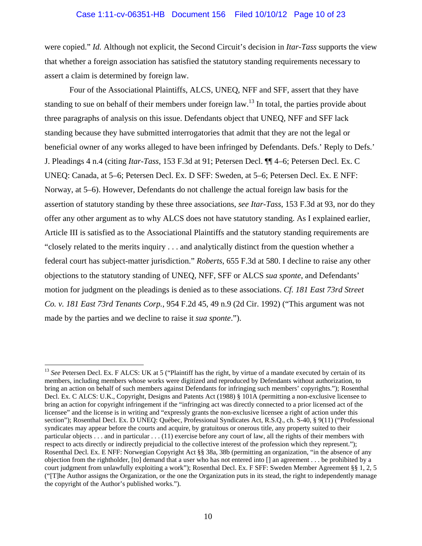#### Case 1:11-cv-06351-HB Document 156 Filed 10/10/12 Page 10 of 23

were copied." *Id.* Although not explicit, the Second Circuit's decision in *Itar-Tass* supports the view that whether a foreign association has satisfied the statutory standing requirements necessary to assert a claim is determined by foreign law.

Four of the Associational Plaintiffs, ALCS, UNEQ, NFF and SFF, assert that they have standing to sue on behalf of their members under foreign law.<sup>13</sup> In total, the parties provide about three paragraphs of analysis on this issue. Defendants object that UNEQ, NFF and SFF lack standing because they have submitted interrogatories that admit that they are not the legal or beneficial owner of any works alleged to have been infringed by Defendants. Defs.' Reply to Defs.' J. Pleadings 4 n.4 (citing *Itar-Tass*, 153 F.3d at 91; Petersen Decl. ¶¶ 4–6; Petersen Decl. Ex. C UNEQ: Canada, at 5–6; Petersen Decl. Ex. D SFF: Sweden, at 5–6; Petersen Decl. Ex. E NFF: Norway, at 5–6). However, Defendants do not challenge the actual foreign law basis for the assertion of statutory standing by these three associations, *see Itar-Tass*, 153 F.3d at 93, nor do they offer any other argument as to why ALCS does not have statutory standing. As I explained earlier, Article III is satisfied as to the Associational Plaintiffs and the statutory standing requirements are "closely related to the merits inquiry . . . and analytically distinct from the question whether a federal court has subject-matter jurisdiction." *Roberts*, 655 F.3d at 580. I decline to raise any other objections to the statutory standing of UNEQ, NFF, SFF or ALCS *sua sponte*, and Defendants' motion for judgment on the pleadings is denied as to these associations. *Cf. 181 East 73rd Street Co. v. 181 East 73rd Tenants Corp.*, 954 F.2d 45, 49 n.9 (2d Cir. 1992) ("This argument was not made by the parties and we decline to raise it *sua sponte*.").

<sup>&</sup>lt;sup>13</sup> See Petersen Decl. Ex. F ALCS: UK at 5 ("Plaintiff has the right, by virtue of a mandate executed by certain of its members, including members whose works were digitized and reproduced by Defendants without authorization, to bring an action on behalf of such members against Defendants for infringing such members' copyrights."); Rosenthal Decl. Ex. C ALCS: U.K., Copyright, Designs and Patents Act (1988) § 101A (permitting a non-exclusive licensee to bring an action for copyright infringement if the "infringing act was directly connected to a prior licensed act of the licensee" and the license is in writing and "expressly grants the non-exclusive licensee a right of action under this section"); Rosenthal Decl. Ex. D UNEQ: Québec, Professional Syndicates Act, R.S.Q., ch. S-40, § 9(11) ("Professional syndicates may appear before the courts and acquire, by gratuitous or onerous title, any property suited to their particular objects . . . and in particular . . . (11) exercise before any court of law, all the rights of their members with respect to acts directly or indirectly prejudicial to the collective interest of the profession which they represent."); Rosenthal Decl. Ex. E NFF: Norwegian Copyright Act §§ 38a, 38b (permitting an organization, "in the absence of any objection from the rightholder, [to] demand that a user who has not entered into [] an agreement . . . be prohibited by a court judgment from unlawfully exploiting a work"); Rosenthal Decl. Ex. F SFF: Sweden Member Agreement §§ 1, 2, 5 ("[T]he Author assigns the Organization, or the one the Organization puts in its stead, the right to independently manage the copyright of the Author's published works.").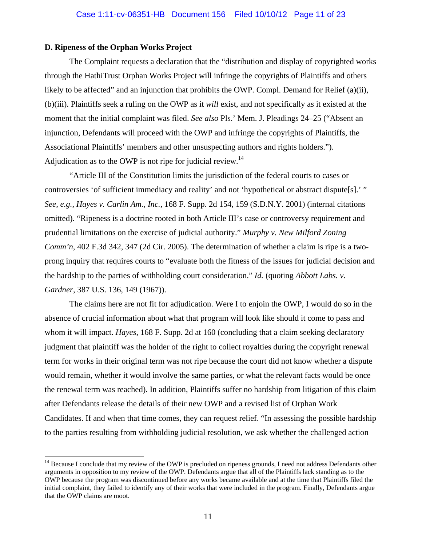#### **D. Ripeness of the Orphan Works Project**

 $\overline{a}$ 

 The Complaint requests a declaration that the "distribution and display of copyrighted works through the HathiTrust Orphan Works Project will infringe the copyrights of Plaintiffs and others likely to be affected" and an injunction that prohibits the OWP. Compl. Demand for Relief (a)(ii), (b)(iii). Plaintiffs seek a ruling on the OWP as it *will* exist, and not specifically as it existed at the moment that the initial complaint was filed. *See also* Pls.' Mem. J. Pleadings 24–25 ("Absent an injunction, Defendants will proceed with the OWP and infringe the copyrights of Plaintiffs, the Associational Plaintiffs' members and other unsuspecting authors and rights holders."). Adjudication as to the OWP is not ripe for judicial review. $14$ 

"Article III of the Constitution limits the jurisdiction of the federal courts to cases or controversies 'of sufficient immediacy and reality' and not 'hypothetical or abstract dispute[s].' " *See, e.g.*, *Hayes v. Carlin Am., Inc.*, 168 F. Supp. 2d 154, 159 (S.D.N.Y. 2001) (internal citations omitted). "Ripeness is a doctrine rooted in both Article III's case or controversy requirement and prudential limitations on the exercise of judicial authority." *Murphy v. New Milford Zoning Comm'n*, 402 F.3d 342, 347 (2d Cir. 2005). The determination of whether a claim is ripe is a twoprong inquiry that requires courts to "evaluate both the fitness of the issues for judicial decision and the hardship to the parties of withholding court consideration." *Id.* (quoting *Abbott Labs. v. Gardner*, 387 U.S. 136, 149 (1967)).

The claims here are not fit for adjudication. Were I to enjoin the OWP, I would do so in the absence of crucial information about what that program will look like should it come to pass and whom it will impact. *Hayes*, 168 F. Supp. 2d at 160 (concluding that a claim seeking declaratory judgment that plaintiff was the holder of the right to collect royalties during the copyright renewal term for works in their original term was not ripe because the court did not know whether a dispute would remain, whether it would involve the same parties, or what the relevant facts would be once the renewal term was reached). In addition, Plaintiffs suffer no hardship from litigation of this claim after Defendants release the details of their new OWP and a revised list of Orphan Work Candidates. If and when that time comes, they can request relief. "In assessing the possible hardship to the parties resulting from withholding judicial resolution, we ask whether the challenged action

 $14$  Because I conclude that my review of the OWP is precluded on ripeness grounds, I need not address Defendants other arguments in opposition to my review of the OWP. Defendants argue that all of the Plaintiffs lack standing as to the OWP because the program was discontinued before any works became available and at the time that Plaintiffs filed the initial complaint, they failed to identify any of their works that were included in the program. Finally, Defendants argue that the OWP claims are moot.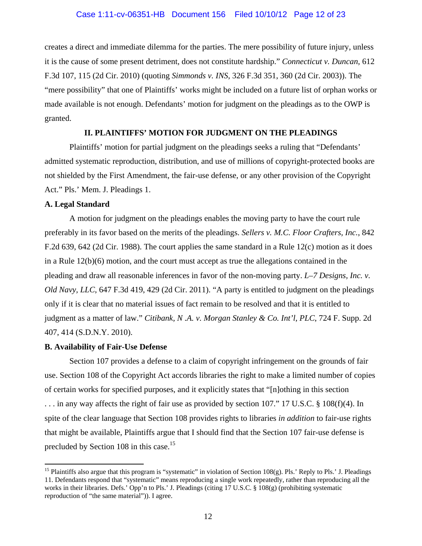creates a direct and immediate dilemma for the parties. The mere possibility of future injury, unless it is the cause of some present detriment, does not constitute hardship." *Connecticut v. Duncan*, 612 F.3d 107, 115 (2d Cir. 2010) (quoting *Simmonds v. INS*, 326 F.3d 351, 360 (2d Cir. 2003)). The "mere possibility" that one of Plaintiffs' works might be included on a future list of orphan works or made available is not enough. Defendants' motion for judgment on the pleadings as to the OWP is granted.

# **II. PLAINTIFFS' MOTION FOR JUDGMENT ON THE PLEADINGS**

Plaintiffs' motion for partial judgment on the pleadings seeks a ruling that "Defendants' admitted systematic reproduction, distribution, and use of millions of copyright-protected books are not shielded by the First Amendment, the fair-use defense, or any other provision of the Copyright Act." Pls.' Mem. J. Pleadings 1.

#### **A. Legal Standard**

A motion for judgment on the pleadings enables the moving party to have the court rule preferably in its favor based on the merits of the pleadings. *Sellers v. M.C. Floor Crafters, Inc.*, 842 F.2d 639, 642 (2d Cir. 1988). The court applies the same standard in a Rule 12(c) motion as it does in a Rule 12(b)(6) motion, and the court must accept as true the allegations contained in the pleading and draw all reasonable inferences in favor of the non-moving party. *L–7 Designs, Inc. v. Old Navy, LLC*, 647 F.3d 419, 429 (2d Cir. 2011). "A party is entitled to judgment on the pleadings only if it is clear that no material issues of fact remain to be resolved and that it is entitled to judgment as a matter of law." *Citibank, N .A. v. Morgan Stanley & Co. Int'l, PLC*, 724 F. Supp. 2d 407, 414 (S.D.N.Y. 2010).

#### **B. Availability of Fair-Use Defense**

 $\overline{a}$ 

 Section 107 provides a defense to a claim of copyright infringement on the grounds of fair use. Section 108 of the Copyright Act accords libraries the right to make a limited number of copies of certain works for specified purposes, and it explicitly states that "[n]othing in this section . . . in any way affects the right of fair use as provided by section 107." 17 U.S.C. § 108(f)(4). In spite of the clear language that Section 108 provides rights to libraries *in addition* to fair-use rights that might be available, Plaintiffs argue that I should find that the Section 107 fair-use defense is precluded by Section 108 in this case.<sup>15</sup>

<sup>&</sup>lt;sup>15</sup> Plaintiffs also argue that this program is "systematic" in violation of Section  $108(g)$ . Pls.' Reply to Pls.' J. Pleadings 11. Defendants respond that "systematic" means reproducing a single work repeatedly, rather than reproducing all the works in their libraries. Defs.' Opp'n to Pls.' J. Pleadings (citing 17 U.S.C. § 108(g) (prohibiting systematic reproduction of "the same material")). I agree.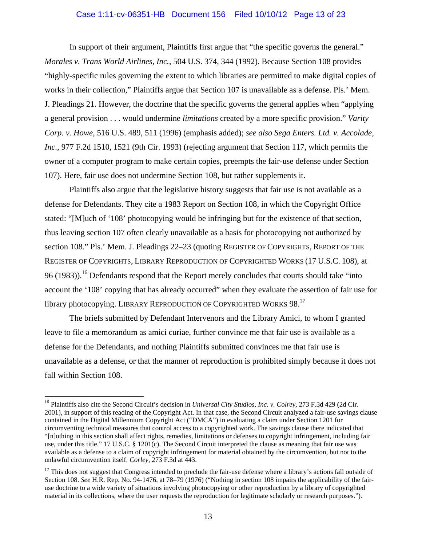#### Case 1:11-cv-06351-HB Document 156 Filed 10/10/12 Page 13 of 23

 In support of their argument, Plaintiffs first argue that "the specific governs the general." *Morales v. Trans World Airlines, Inc.*, 504 U.S. 374, 344 (1992). Because Section 108 provides "highly-specific rules governing the extent to which libraries are permitted to make digital copies of works in their collection," Plaintiffs argue that Section 107 is unavailable as a defense. Pls.' Mem. J. Pleadings 21. However, the doctrine that the specific governs the general applies when "applying a general provision . . . would undermine *limitations* created by a more specific provision." *Varity Corp. v. Howe*, 516 U.S. 489, 511 (1996) (emphasis added); *see also Sega Enters. Ltd. v. Accolade, Inc.*, 977 F.2d 1510, 1521 (9th Cir. 1993) (rejecting argument that Section 117, which permits the owner of a computer program to make certain copies, preempts the fair-use defense under Section 107). Here, fair use does not undermine Section 108, but rather supplements it.

 Plaintiffs also argue that the legislative history suggests that fair use is not available as a defense for Defendants. They cite a 1983 Report on Section 108, in which the Copyright Office stated: "[M]uch of '108' photocopying would be infringing but for the existence of that section, thus leaving section 107 often clearly unavailable as a basis for photocopying not authorized by section 108." Pls.' Mem. J. Pleadings 22–23 (quoting REGISTER OF COPYRIGHTS, REPORT OF THE REGISTER OF COPYRIGHTS, LIBRARY REPRODUCTION OF COPYRIGHTED WORKS (17 U.S.C. 108), at 96 (1983)).<sup>16</sup> Defendants respond that the Report merely concludes that courts should take "into" account the '108' copying that has already occurred" when they evaluate the assertion of fair use for library photocopying. LIBRARY REPRODUCTION OF COPYRIGHTED WORKS 98.<sup>17</sup>

 The briefs submitted by Defendant Intervenors and the Library Amici, to whom I granted leave to file a memorandum as amici curiae, further convince me that fair use is available as a defense for the Defendants, and nothing Plaintiffs submitted convinces me that fair use is unavailable as a defense, or that the manner of reproduction is prohibited simply because it does not fall within Section 108.

<sup>&</sup>lt;sup>16</sup> Plaintiffs also cite the Second Circuit's decision in *Universal City Studios, Inc. v. Colrey*, 273 F.3d 429 (2d Cir. 2001), in support of this reading of the Copyright Act. In that case, the Second Circuit analyzed a fair-use savings clause contained in the Digital Millennium Copyright Act ("DMCA") in evaluating a claim under Section 1201 for circumventing technical measures that control access to a copyrighted work. The savings clause there indicated that "[n]othing in this section shall affect rights, remedies, limitations or defenses to copyright infringement, including fair use, under this title." 17 U.S.C. § 1201(c). The Second Circuit interpreted the clause as meaning that fair use was available as a defense to a claim of copyright infringement for material obtained by the circumvention, but not to the unlawful circumvention itself. *Corley*, 273 F.3d at 443.

 $17$  This does not suggest that Congress intended to preclude the fair-use defense where a library's actions fall outside of Section 108. *See* H.R. Rep. No. 94-1476, at 78–79 (1976) ("Nothing in section 108 impairs the applicability of the fairuse doctrine to a wide variety of situations involving photocopying or other reproduction by a library of copyrighted material in its collections, where the user requests the reproduction for legitimate scholarly or research purposes.").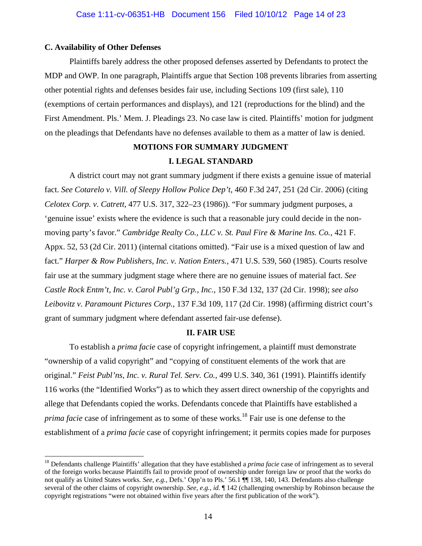## **C. Availability of Other Defenses**

 $\overline{a}$ 

 Plaintiffs barely address the other proposed defenses asserted by Defendants to protect the MDP and OWP. In one paragraph, Plaintiffs argue that Section 108 prevents libraries from asserting other potential rights and defenses besides fair use, including Sections 109 (first sale), 110 (exemptions of certain performances and displays), and 121 (reproductions for the blind) and the First Amendment. Pls.' Mem. J. Pleadings 23. No case law is cited. Plaintiffs' motion for judgment on the pleadings that Defendants have no defenses available to them as a matter of law is denied.

# **MOTIONS FOR SUMMARY JUDGMENT I. LEGAL STANDARD**

A district court may not grant summary judgment if there exists a genuine issue of material fact. *See Cotarelo v. Vill. of Sleepy Hollow Police Dep't*, 460 F.3d 247, 251 (2d Cir. 2006) (citing *Celotex Corp. v. Catrett*, 477 U.S. 317, 322–23 (1986)). "For summary judgment purposes, a 'genuine issue' exists where the evidence is such that a reasonable jury could decide in the nonmoving party's favor." *Cambridge Realty Co., LLC v. St. Paul Fire & Marine Ins. Co.*, 421 F. Appx. 52, 53 (2d Cir. 2011) (internal citations omitted). "Fair use is a mixed question of law and fact." *Harper & Row Publishers, Inc. v. Nation Enters.*, 471 U.S. 539, 560 (1985). Courts resolve fair use at the summary judgment stage where there are no genuine issues of material fact. *See Castle Rock Entm't, Inc. v. Carol Publ'g Grp., Inc.*, 150 F.3d 132, 137 (2d Cir. 1998); *see also Leibovitz v. Paramount Pictures Corp.*, 137 F.3d 109, 117 (2d Cir. 1998) (affirming district court's grant of summary judgment where defendant asserted fair-use defense).

# **II. FAIR USE**

To establish a *prima facie* case of copyright infringement, a plaintiff must demonstrate "ownership of a valid copyright" and "copying of constituent elements of the work that are original." *Feist Publ'ns, Inc. v. Rural Tel. Serv. Co.*, 499 U.S. 340, 361 (1991). Plaintiffs identify 116 works (the "Identified Works") as to which they assert direct ownership of the copyrights and allege that Defendants copied the works. Defendants concede that Plaintiffs have established a *prima facie* case of infringement as to some of these works.<sup>18</sup> Fair use is one defense to the establishment of a *prima facie* case of copyright infringement; it permits copies made for purposes

<sup>&</sup>lt;sup>18</sup> Defendants challenge Plaintiffs' allegation that they have established a *prima facie* case of infringement as to several of the foreign works because Plaintiffs fail to provide proof of ownership under foreign law or proof that the works do not qualify as United States works. *See, e.g.*, Defs.' Opp'n to Pls.' 56.1 ¶¶ 138, 140, 143. Defendants also challenge several of the other claims of copyright ownership. *See, e.g.*, *id.* ¶ 142 (challenging ownership by Robinson because the copyright registrations "were not obtained within five years after the first publication of the work").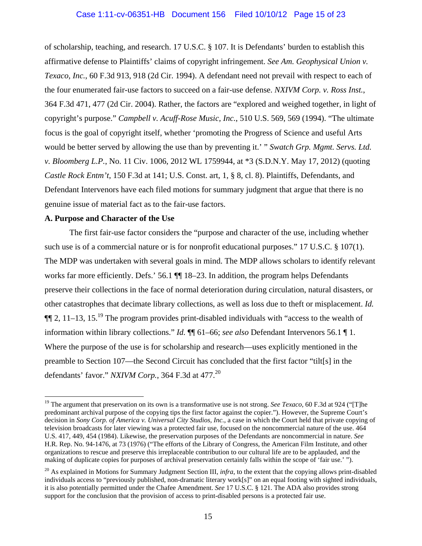of scholarship, teaching, and research. 17 U.S.C. § 107. It is Defendants' burden to establish this affirmative defense to Plaintiffs' claims of copyright infringement. *See Am. Geophysical Union v. Texaco, Inc.*, 60 F.3d 913, 918 (2d Cir. 1994). A defendant need not prevail with respect to each of the four enumerated fair-use factors to succeed on a fair-use defense. *NXIVM Corp. v. Ross Inst.*, 364 F.3d 471, 477 (2d Cir. 2004). Rather, the factors are "explored and weighed together, in light of copyright's purpose." *Campbell v. Acuff-Rose Music, Inc.*, 510 U.S. 569, 569 (1994). "The ultimate focus is the goal of copyright itself, whether 'promoting the Progress of Science and useful Arts would be better served by allowing the use than by preventing it.' " *Swatch Grp. Mgmt. Servs. Ltd. v. Bloomberg L.P.*, No. 11 Civ. 1006, 2012 WL 1759944, at \*3 (S.D.N.Y. May 17, 2012) (quoting *Castle Rock Entm't*, 150 F.3d at 141; U.S. Const. art, 1, § 8, cl. 8). Plaintiffs, Defendants, and Defendant Intervenors have each filed motions for summary judgment that argue that there is no genuine issue of material fact as to the fair-use factors.

## **A. Purpose and Character of the Use**

 $\overline{a}$ 

The first fair-use factor considers the "purpose and character of the use, including whether such use is of a commercial nature or is for nonprofit educational purposes." 17 U.S.C. § 107(1). The MDP was undertaken with several goals in mind. The MDP allows scholars to identify relevant works far more efficiently. Defs.' 56.1  $\P$  18–23. In addition, the program helps Defendants preserve their collections in the face of normal deterioration during circulation, natural disasters, or other catastrophes that decimate library collections, as well as loss due to theft or misplacement. *Id.*  $\P$ [2, 11–13, 15<sup>19</sup>] The program provides print-disabled individuals with "access to the wealth of information within library collections." *Id.* ¶¶ 61–66; *see also* Defendant Intervenors 56.1 ¶ 1. Where the purpose of the use is for scholarship and research—uses explicitly mentioned in the preamble to Section 107—the Second Circuit has concluded that the first factor "tilt[s] in the defendants' favor." *NXIVM Corp.*, 364 F.3d at 477.<sup>20</sup>

<sup>&</sup>lt;sup>19</sup> The argument that preservation on its own is a transformative use is not strong. *See Texaco*, 60 F.3d at 924 ("[T]he predominant archival purpose of the copying tips the first factor against the copier."). However, the Supreme Court's decision in *Sony Corp. of America v. Universal City Studios, Inc.*, a case in which the Court held that private copying of television broadcasts for later viewing was a protected fair use, focused on the noncommercial nature of the use. 464 U.S. 417, 449, 454 (1984). Likewise, the preservation purposes of the Defendants are noncommercial in nature. *See*  H.R. Rep. No. 94-1476, at 73 (1976) ("The efforts of the Library of Congress, the American Film Institute, and other organizations to rescue and preserve this irreplaceable contribution to our cultural life are to be applauded, and the making of duplicate copies for purposes of archival preservation certainly falls within the scope of 'fair use.' ").

<sup>20</sup> As explained in Motions for Summary Judgment Section III, *infra*, to the extent that the copying allows print-disabled individuals access to "previously published, non-dramatic literary work[s]" on an equal footing with sighted individuals, it is also potentially permitted under the Chafee Amendment. *See* 17 U.S.C. § 121. The ADA also provides strong support for the conclusion that the provision of access to print-disabled persons is a protected fair use.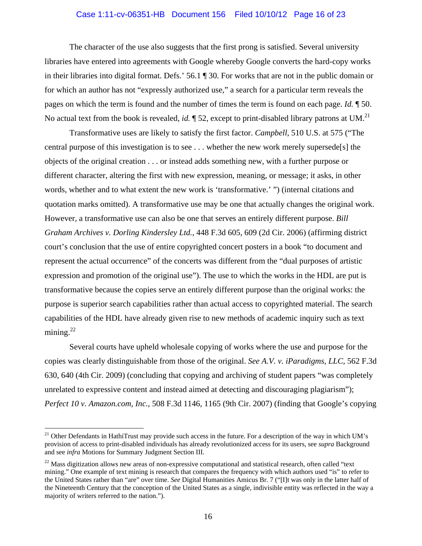#### Case 1:11-cv-06351-HB Document 156 Filed 10/10/12 Page 16 of 23

 The character of the use also suggests that the first prong is satisfied. Several university libraries have entered into agreements with Google whereby Google converts the hard-copy works in their libraries into digital format. Defs.' 56.1 ¶ 30. For works that are not in the public domain or for which an author has not "expressly authorized use," a search for a particular term reveals the pages on which the term is found and the number of times the term is found on each page. *Id.* ¶ 50. No actual text from the book is revealed, *id.*  $\parallel$  52, except to print-disabled library patrons at UM.<sup>21</sup>

 Transformative uses are likely to satisfy the first factor. *Campbell*, 510 U.S. at 575 ("The central purpose of this investigation is to see . . . whether the new work merely supersede[s] the objects of the original creation . . . or instead adds something new, with a further purpose or different character, altering the first with new expression, meaning, or message; it asks, in other words, whether and to what extent the new work is 'transformative.' ") (internal citations and quotation marks omitted). A transformative use may be one that actually changes the original work. However, a transformative use can also be one that serves an entirely different purpose. *Bill Graham Archives v. Dorling Kindersley Ltd.*, 448 F.3d 605, 609 (2d Cir. 2006) (affirming district court's conclusion that the use of entire copyrighted concert posters in a book "to document and represent the actual occurrence" of the concerts was different from the "dual purposes of artistic expression and promotion of the original use"). The use to which the works in the HDL are put is transformative because the copies serve an entirely different purpose than the original works: the purpose is superior search capabilities rather than actual access to copyrighted material. The search capabilities of the HDL have already given rise to new methods of academic inquiry such as text mining. $^{22}$ 

Several courts have upheld wholesale copying of works where the use and purpose for the copies was clearly distinguishable from those of the original. *See A.V. v. iParadigms, LLC*, 562 F.3d 630, 640 (4th Cir. 2009) (concluding that copying and archiving of student papers "was completely unrelated to expressive content and instead aimed at detecting and discouraging plagiarism"); *Perfect 10 v. Amazon.com, Inc.*, 508 F.3d 1146, 1165 (9th Cir. 2007) (finding that Google's copying

 $21$  Other Defendants in HathiTrust may provide such access in the future. For a description of the way in which UM's provision of access to print-disabled individuals has already revolutionized access for its users, see *supra* Background and see *infra* Motions for Summary Judgment Section III.

 $^{22}$  Mass digitization allows new areas of non-expressive computational and statistical research, often called "text" mining." One example of text mining is research that compares the frequency with which authors used "is" to refer to the United States rather than "are" over time. *See* Digital Humanities Amicus Br. 7 ("[I]t was only in the latter half of the Nineteenth Century that the conception of the United States as a single, indivisible entity was reflected in the way a majority of writers referred to the nation.").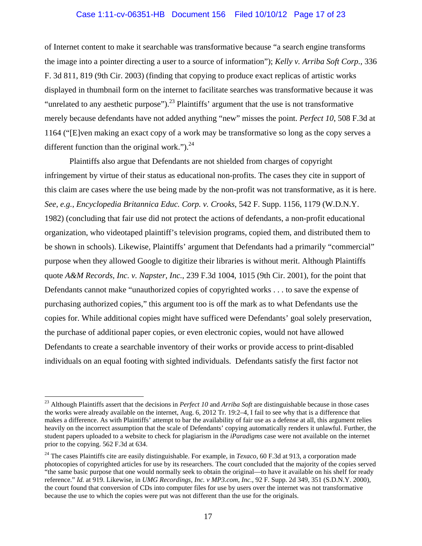## Case 1:11-cv-06351-HB Document 156 Filed 10/10/12 Page 17 of 23

of Internet content to make it searchable was transformative because "a search engine transforms the image into a pointer directing a user to a source of information"); *Kelly v. Arriba Soft Corp.*, 336 F. 3d 811, 819 (9th Cir. 2003) (finding that copying to produce exact replicas of artistic works displayed in thumbnail form on the internet to facilitate searches was transformative because it was "unrelated to any aesthetic purpose").<sup>23</sup> Plaintiffs' argument that the use is not transformative merely because defendants have not added anything "new" misses the point. *Perfect 10*, 508 F.3d at 1164 ("[E]ven making an exact copy of a work may be transformative so long as the copy serves a different function than the original work." $)^{24}$ 

 Plaintiffs also argue that Defendants are not shielded from charges of copyright infringement by virtue of their status as educational non-profits. The cases they cite in support of this claim are cases where the use being made by the non-profit was not transformative, as it is here. *See, e.g.*, *Encyclopedia Britannica Educ. Corp. v. Crooks*, 542 F. Supp. 1156, 1179 (W.D.N.Y. 1982) (concluding that fair use did not protect the actions of defendants, a non-profit educational organization, who videotaped plaintiff's television programs, copied them, and distributed them to be shown in schools). Likewise, Plaintiffs' argument that Defendants had a primarily "commercial" purpose when they allowed Google to digitize their libraries is without merit. Although Plaintiffs quote *A&M Records, Inc. v. Napster, Inc.*, 239 F.3d 1004, 1015 (9th Cir. 2001), for the point that Defendants cannot make "unauthorized copies of copyrighted works . . . to save the expense of purchasing authorized copies," this argument too is off the mark as to what Defendants use the copies for. While additional copies might have sufficed were Defendants' goal solely preservation, the purchase of additional paper copies, or even electronic copies, would not have allowed Defendants to create a searchable inventory of their works or provide access to print-disabled individuals on an equal footing with sighted individuals. Defendants satisfy the first factor not

<sup>&</sup>lt;sup>23</sup> Although Plaintiffs assert that the decisions in *Perfect 10* and *Arriba Soft* are distinguishable because in those cases the works were already available on the internet, Aug. 6, 2012 Tr. 19:2–4, I fail to see why that is a difference that makes a difference. As with Plaintiffs' attempt to bar the availability of fair use as a defense at all, this argument relies heavily on the incorrect assumption that the scale of Defendants' copying automatically renders it unlawful. Further, the student papers uploaded to a website to check for plagiarism in the *iParadigms* case were not available on the internet prior to the copying. 562 F.3d at 634.

<sup>&</sup>lt;sup>24</sup> The cases Plaintiffs cite are easily distinguishable. For example, in *Texaco*, 60 F.3d at 913, a corporation made photocopies of copyrighted articles for use by its researchers. The court concluded that the majority of the copies served "the same basic purpose that one would normally seek to obtain the original—to have it available on his shelf for ready reference." *Id.* at 919. Likewise, in *UMG Recordings, Inc. v MP3.com, Inc.*, 92 F. Supp. 2d 349, 351 (S.D.N.Y. 2000), the court found that conversion of CDs into computer files for use by users over the internet was not transformative because the use to which the copies were put was not different than the use for the originals.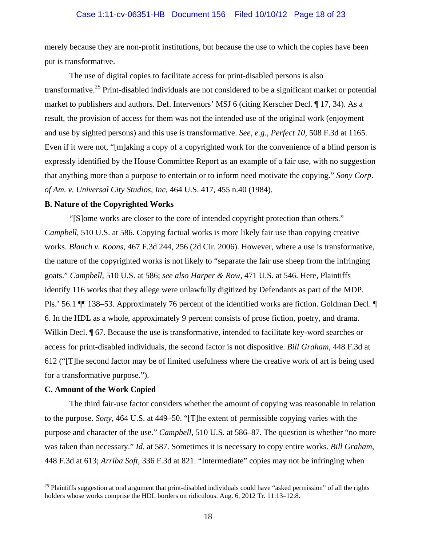#### Case 1:11-cv-06351-HB Document 156 Filed 10/10/12 Page 18 of 23

merely because they are non-profit institutions, but because the use to which the copies have been put is transformative.

 The use of digital copies to facilitate access for print-disabled persons is also transformative.25 Print-disabled individuals are not considered to be a significant market or potential market to publishers and authors. Def. Intervenors' MSJ 6 (citing Kerscher Decl. ¶ 17, 34). As a result, the provision of access for them was not the intended use of the original work (enjoyment and use by sighted persons) and this use is transformative. *See, e.g.*, *Perfect 10*, 508 F.3d at 1165. Even if it were not, "[m]aking a copy of a copyrighted work for the convenience of a blind person is expressly identified by the House Committee Report as an example of a fair use, with no suggestion that anything more than a purpose to entertain or to inform need motivate the copying." *Sony Corp. of Am. v. Universal City Studios, Inc*, 464 U.S. 417, 455 n.40 (1984).

#### **B. Nature of the Copyrighted Works**

"[S]ome works are closer to the core of intended copyright protection than others." *Campbell*, 510 U.S. at 586. Copying factual works is more likely fair use than copying creative works. *Blanch v. Koons*, 467 F.3d 244, 256 (2d Cir. 2006). However, where a use is transformative, the nature of the copyrighted works is not likely to "separate the fair use sheep from the infringing goats." *Campbell*, 510 U.S. at 586; *see also Harper & Row*, 471 U.S. at 546. Here, Plaintiffs identify 116 works that they allege were unlawfully digitized by Defendants as part of the MDP. Pls.' 56.1 ¶¶ 138–53. Approximately 76 percent of the identified works are fiction. Goldman Decl. ¶ 6. In the HDL as a whole, approximately 9 percent consists of prose fiction, poetry, and drama. Wilkin Decl. **[67.** Because the use is transformative, intended to facilitate key-word searches or access for print-disabled individuals, the second factor is not dispositive. *Bill Graham*, 448 F.3d at 612 ("[T]he second factor may be of limited usefulness where the creative work of art is being used for a transformative purpose.").

## **C. Amount of the Work Copied**

 $\overline{a}$ 

The third fair-use factor considers whether the amount of copying was reasonable in relation to the purpose. *Sony*, 464 U.S. at 449–50. "[T]he extent of permissible copying varies with the purpose and character of the use." *Campbell*, 510 U.S. at 586–87. The question is whether "no more was taken than necessary." *Id.* at 587. Sometimes it is necessary to copy entire works. *Bill Graham*, 448 F.3d at 613; *Arriba Soft*, 336 F.3d at 821. "Intermediate" copies may not be infringing when

 $25$  Plaintiffs suggestion at oral argument that print-disabled individuals could have "asked permission" of all the rights holders whose works comprise the HDL borders on ridiculous. Aug. 6, 2012 Tr. 11:13–12:8.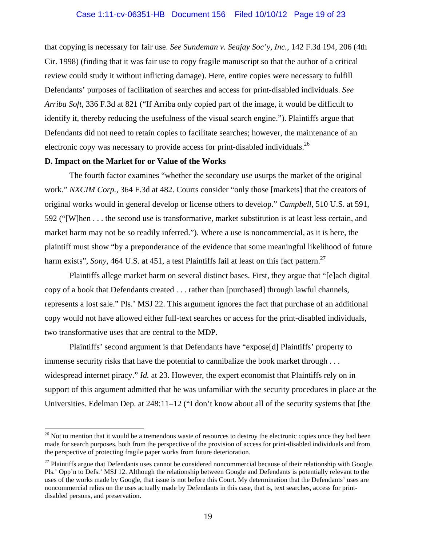## Case 1:11-cv-06351-HB Document 156 Filed 10/10/12 Page 19 of 23

that copying is necessary for fair use. *See Sundeman v. Seajay Soc'y, Inc.*, 142 F.3d 194, 206 (4th Cir. 1998) (finding that it was fair use to copy fragile manuscript so that the author of a critical review could study it without inflicting damage). Here, entire copies were necessary to fulfill Defendants' purposes of facilitation of searches and access for print-disabled individuals. *See Arriba Soft*, 336 F.3d at 821 ("If Arriba only copied part of the image, it would be difficult to identify it, thereby reducing the usefulness of the visual search engine."). Plaintiffs argue that Defendants did not need to retain copies to facilitate searches; however, the maintenance of an electronic copy was necessary to provide access for print-disabled individuals.<sup>26</sup>

#### **D. Impact on the Market for or Value of the Works**

 $\overline{a}$ 

The fourth factor examines "whether the secondary use usurps the market of the original work." *NXCIM Corp.*, 364 F.3d at 482. Courts consider "only those [markets] that the creators of original works would in general develop or license others to develop." *Campbell*, 510 U.S. at 591, 592 ("[W]hen . . . the second use is transformative, market substitution is at least less certain, and market harm may not be so readily inferred."). Where a use is noncommercial, as it is here, the plaintiff must show "by a preponderance of the evidence that some meaningful likelihood of future harm exists", *Sony*, 464 U.S. at 451, a test Plaintiffs fail at least on this fact pattern.<sup>27</sup>

 Plaintiffs allege market harm on several distinct bases. First, they argue that "[e]ach digital copy of a book that Defendants created . . . rather than [purchased] through lawful channels, represents a lost sale." Pls.' MSJ 22. This argument ignores the fact that purchase of an additional copy would not have allowed either full-text searches or access for the print-disabled individuals, two transformative uses that are central to the MDP.

Plaintiffs' second argument is that Defendants have "expose[d] Plaintiffs' property to immense security risks that have the potential to cannibalize the book market through . . . widespread internet piracy." *Id.* at 23. However, the expert economist that Plaintiffs rely on in support of this argument admitted that he was unfamiliar with the security procedures in place at the Universities. Edelman Dep. at 248:11–12 ("I don't know about all of the security systems that [the

 $26$  Not to mention that it would be a tremendous waste of resources to destroy the electronic copies once they had been made for search purposes, both from the perspective of the provision of access for print-disabled individuals and from the perspective of protecting fragile paper works from future deterioration.

 $^{27}$  Plaintiffs argue that Defendants uses cannot be considered noncommercial because of their relationship with Google. Pls.' Opp'n to Defs.' MSJ 12. Although the relationship between Google and Defendants is potentially relevant to the uses of the works made by Google, that issue is not before this Court. My determination that the Defendants' uses are noncommercial relies on the uses actually made by Defendants in this case, that is, text searches, access for printdisabled persons, and preservation.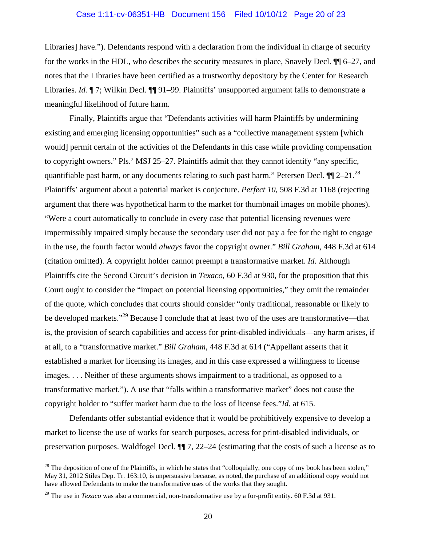#### Case 1:11-cv-06351-HB Document 156 Filed 10/10/12 Page 20 of 23

Libraries] have."). Defendants respond with a declaration from the individual in charge of security for the works in the HDL, who describes the security measures in place, Snavely Decl. ¶¶ 6–27, and notes that the Libraries have been certified as a trustworthy depository by the Center for Research Libraries. *Id.* 17; Wilkin Decl. 11 91–99. Plaintiffs' unsupported argument fails to demonstrate a meaningful likelihood of future harm.

Finally, Plaintiffs argue that "Defendants activities will harm Plaintiffs by undermining existing and emerging licensing opportunities" such as a "collective management system [which would] permit certain of the activities of the Defendants in this case while providing compensation to copyright owners." Pls.' MSJ 25–27. Plaintiffs admit that they cannot identify "any specific, quantifiable past harm, or any documents relating to such past harm." Petersen Decl.  $\P$ [2–21.<sup>28</sup>] Plaintiffs' argument about a potential market is conjecture. *Perfect 10*, 508 F.3d at 1168 (rejecting argument that there was hypothetical harm to the market for thumbnail images on mobile phones). "Were a court automatically to conclude in every case that potential licensing revenues were impermissibly impaired simply because the secondary user did not pay a fee for the right to engage in the use, the fourth factor would *always* favor the copyright owner." *Bill Graham*, 448 F.3d at 614 (citation omitted). A copyright holder cannot preempt a transformative market. *Id.* Although Plaintiffs cite the Second Circuit's decision in *Texaco*, 60 F.3d at 930, for the proposition that this Court ought to consider the "impact on potential licensing opportunities," they omit the remainder of the quote, which concludes that courts should consider "only traditional, reasonable or likely to be developed markets."<sup>29</sup> Because I conclude that at least two of the uses are transformative—that is, the provision of search capabilities and access for print-disabled individuals—any harm arises, if at all, to a "transformative market." *Bill Graham*, 448 F.3d at 614 ("Appellant asserts that it established a market for licensing its images, and in this case expressed a willingness to license images. . . . Neither of these arguments shows impairment to a traditional, as opposed to a transformative market."). A use that "falls within a transformative market" does not cause the copyright holder to "suffer market harm due to the loss of license fees."*Id.* at 615.

Defendants offer substantial evidence that it would be prohibitively expensive to develop a market to license the use of works for search purposes, access for print-disabled individuals, or preservation purposes. Waldfogel Decl. ¶¶ 7, 22–24 (estimating that the costs of such a license as to

 $28$  The deposition of one of the Plaintiffs, in which he states that "colloquially, one copy of my book has been stolen," May 31, 2012 Stiles Dep. Tr. 163:10, is unpersuasive because, as noted, the purchase of an additional copy would not have allowed Defendants to make the transformative uses of the works that they sought.

<sup>&</sup>lt;sup>29</sup> The use in *Texaco* was also a commercial, non-transformative use by a for-profit entity. 60 F.3d at 931.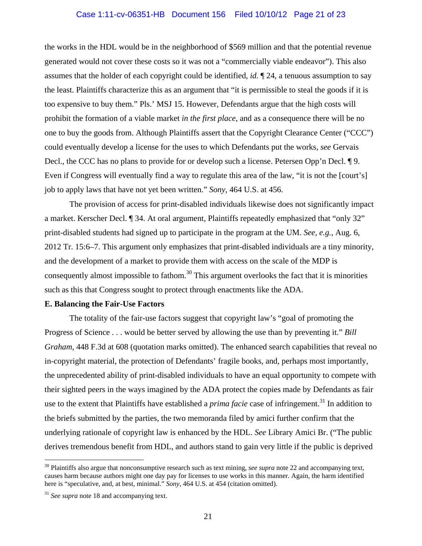#### Case 1:11-cv-06351-HB Document 156 Filed 10/10/12 Page 21 of 23

the works in the HDL would be in the neighborhood of \$569 million and that the potential revenue generated would not cover these costs so it was not a "commercially viable endeavor"). This also assumes that the holder of each copyright could be identified, *id.* ¶ 24, a tenuous assumption to say the least. Plaintiffs characterize this as an argument that "it is permissible to steal the goods if it is too expensive to buy them." Pls.' MSJ 15. However, Defendants argue that the high costs will prohibit the formation of a viable market *in the first place*, and as a consequence there will be no one to buy the goods from. Although Plaintiffs assert that the Copyright Clearance Center ("CCC") could eventually develop a license for the uses to which Defendants put the works, *see* Gervais Decl., the CCC has no plans to provide for or develop such a license. Petersen Opp'n Decl. ¶ 9. Even if Congress will eventually find a way to regulate this area of the law, "it is not the [court's] job to apply laws that have not yet been written." *Sony*, 464 U.S. at 456.

The provision of access for print-disabled individuals likewise does not significantly impact a market. Kerscher Decl. ¶ 34. At oral argument, Plaintiffs repeatedly emphasized that "only 32" print-disabled students had signed up to participate in the program at the UM. *See, e.g.*, Aug. 6, 2012 Tr. 15:6–7. This argument only emphasizes that print-disabled individuals are a tiny minority, and the development of a market to provide them with access on the scale of the MDP is consequently almost impossible to fathom.<sup>30</sup> This argument overlooks the fact that it is minorities such as this that Congress sought to protect through enactments like the ADA.

## **E. Balancing the Fair-Use Factors**

 The totality of the fair-use factors suggest that copyright law's "goal of promoting the Progress of Science . . . would be better served by allowing the use than by preventing it." *Bill Graham*, 448 F.3d at 608 (quotation marks omitted). The enhanced search capabilities that reveal no in-copyright material, the protection of Defendants' fragile books, and, perhaps most importantly, the unprecedented ability of print-disabled individuals to have an equal opportunity to compete with their sighted peers in the ways imagined by the ADA protect the copies made by Defendants as fair use to the extent that Plaintiffs have established a *prima facie* case of infringement.<sup>31</sup> In addition to the briefs submitted by the parties, the two memoranda filed by amici further confirm that the underlying rationale of copyright law is enhanced by the HDL. *See* Library Amici Br. ("The public derives tremendous benefit from HDL, and authors stand to gain very little if the public is deprived

<sup>&</sup>lt;sup>30</sup> Plaintiffs also argue that nonconsumptive research such as text mining, *see supra* note 22 and accompanying text, causes harm because authors might one day pay for licenses to use works in this manner. Again, the harm identified here is "speculative, and, at best, minimal." *Sony*, 464 U.S. at 454 (citation omitted).

<sup>&</sup>lt;sup>31</sup> *See supra* note 18 and accompanying text.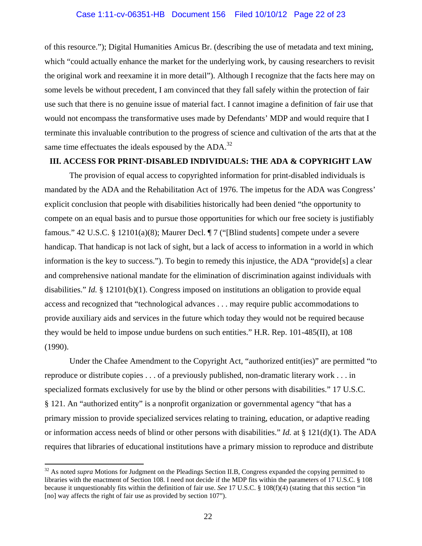of this resource."); Digital Humanities Amicus Br. (describing the use of metadata and text mining, which "could actually enhance the market for the underlying work, by causing researchers to revisit the original work and reexamine it in more detail"). Although I recognize that the facts here may on some levels be without precedent, I am convinced that they fall safely within the protection of fair use such that there is no genuine issue of material fact. I cannot imagine a definition of fair use that would not encompass the transformative uses made by Defendants' MDP and would require that I terminate this invaluable contribution to the progress of science and cultivation of the arts that at the same time effectuates the ideals espoused by the ADA.<sup>32</sup>

# **III. ACCESS FOR PRINT-DISABLED INDIVIDUALS: THE ADA & COPYRIGHT LAW**

The provision of equal access to copyrighted information for print-disabled individuals is mandated by the ADA and the Rehabilitation Act of 1976. The impetus for the ADA was Congress' explicit conclusion that people with disabilities historically had been denied "the opportunity to compete on an equal basis and to pursue those opportunities for which our free society is justifiably famous." 42 U.S.C. § 12101(a)(8); Maurer Decl. ¶ 7 ("[Blind students] compete under a severe handicap. That handicap is not lack of sight, but a lack of access to information in a world in which information is the key to success."). To begin to remedy this injustice, the ADA "provide[s] a clear and comprehensive national mandate for the elimination of discrimination against individuals with disabilities." *Id.* § 12101(b)(1). Congress imposed on institutions an obligation to provide equal access and recognized that "technological advances . . . may require public accommodations to provide auxiliary aids and services in the future which today they would not be required because they would be held to impose undue burdens on such entities." H.R. Rep. 101-485(II), at 108 (1990).

Under the Chafee Amendment to the Copyright Act, "authorized entit(ies)" are permitted "to reproduce or distribute copies . . . of a previously published, non-dramatic literary work . . . in specialized formats exclusively for use by the blind or other persons with disabilities." 17 U.S.C. § 121. An "authorized entity" is a nonprofit organization or governmental agency "that has a primary mission to provide specialized services relating to training, education, or adaptive reading or information access needs of blind or other persons with disabilities." *Id.* at § 121(d)(1). The ADA requires that libraries of educational institutions have a primary mission to reproduce and distribute

<sup>&</sup>lt;sup>32</sup> As noted *supra* Motions for Judgment on the Pleadings Section II.B, Congress expanded the copying permitted to libraries with the enactment of Section 108. I need not decide if the MDP fits within the parameters of 17 U.S.C. § 108 because it unquestionably fits within the definition of fair use. *See* 17 U.S.C. § 108(f)(4) (stating that this section "in [no] way affects the right of fair use as provided by section 107").